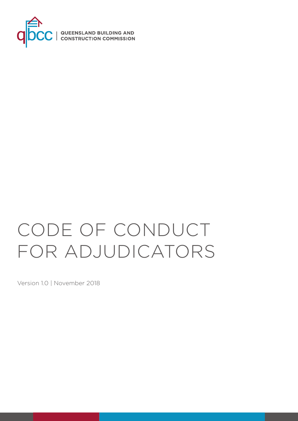

# CODE OF CONDUCT FOR ADJUDICATORS

Version 1.0 | November 2018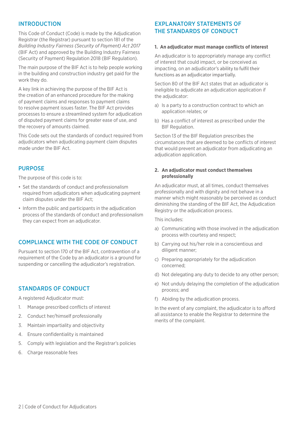# INTRODUCTION

This Code of Conduct (Code) is made by the Adjudication Registrar (the Registrar) pursuant to section 181 of the *Building Industry Fairness (Security of Payment) Act 2017*  (BIF Act) and approved by the Building Industry Fairness (Security of Payment) Regulation 2018 (BIF Regulation).

The main purpose of the BIF Act is to help people working in the building and construction industry get paid for the work they do.

A key link in achieving the purpose of the BIF Act is the creation of an enhanced procedure for the making of payment claims and responses to payment claims to resolve payment issues faster. The BIF Act provides processes to ensure a streamlined system for adjudication of disputed payment claims for greater ease of use, and the recovery of amounts claimed.

This Code sets out the standards of conduct required from adjudicators when adjudicating payment claim disputes made under the BIF Act.

## PURPOSE

The purpose of this code is to:

- Set the standards of conduct and professionalism required from adjudicators when adjudicating payment claim disputes under the BIF Act;
- Inform the public and participants in the adjudication process of the standards of conduct and professionalism they can expect from an adjudicator.

# COMPLIANCE WITH THE CODE OF CONDUCT

Pursuant to section 170 of the BIF Act, contravention of a requirement of the Code by an adjudicator is a ground for suspending or cancelling the adjudicator's registration.

# STANDARDS OF CONDUCT

A registered Adjudicator must:

- 1. Manage prescribed conflicts of interest
- 2. Conduct her/himself professionally
- 3. Maintain impartiality and objectivity
- 4. Ensure confidentiality is maintained
- 5. Comply with legislation and the Registrar's policies
- 6. Charge reasonable fees

# EXPLANATORY STATEMENTS OF THE STANDARDS OF CONDUCT

#### **1. An adjudicator must manage conflicts of interest**

An adjudicator is to appropriately manage any conflict of interest that could impact, or be conceived as impacting, on an adjudicator's ability to fulfil their functions as an adjudicator impartially.

Section 80 of the BIF Act states that an adjudicator is ineligible to adjudicate an adjudication application if the adjudicator:

- a) Is a party to a construction contract to which an application relates; or
- b) Has a conflict of interest as prescribed under the BIF Regulation.

Section 13 of the BIF Regulation prescribes the circumstances that are deemed to be conflicts of interest that would prevent an adjudicator from adjudicating an adjudication application.

#### **2. An adjudicator must conduct themselves professionally**

An adjudicator must, at all times, conduct themselves professionally and with dignity and not behave in a manner which might reasonably be perceived as conduct diminishing the standing of the BIF Act, the Adjudication Registry or the adjudication process.

This includes:

- a) Communicating with those involved in the adjudication process with courtesy and respect;
- b) Carrying out his/her role in a conscientious and diligent manner;
- c) Preparing appropriately for the adjudication concerned;
- d) Not delegating any duty to decide to any other person;
- e) Not unduly delaying the completion of the adjudication process; and
- f) Abiding by the adjudication process.

In the event of any complaint, the adjudicator is to afford all assistance to enable the Registrar to determine the merits of the complaint.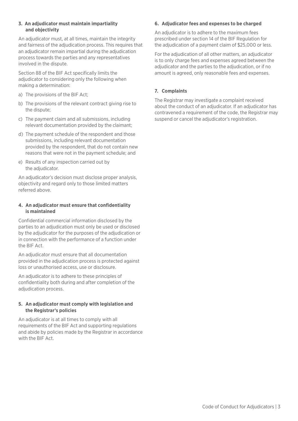### **3. An adjudicator must maintain impartiality and objectivity**

An adjudicator must, at all times, maintain the integrity and fairness of the adjudication process. This requires that an adjudicator remain impartial during the adjudication process towards the parties and any representatives involved in the dispute.

Section 88 of the BIF Act specifically limits the adjudicator to considering only the following when making a determination:

- a) The provisions of the BIF Act;
- b) The provisions of the relevant contract giving rise to the dispute;
- c) The payment claim and all submissions, including relevant documentation provided by the claimant;
- d) The payment schedule of the respondent and those submissions, including relevant documentation provided by the respondent, that do not contain new reasons that were not in the payment schedule; and
- e) Results of any inspection carried out by the adjudicator.

An adjudicator's decision must disclose proper analysis, objectivity and regard only to those limited matters referred above.

## **4. An adjudicator must ensure that confidentiality is maintained**

Confidential commercial information disclosed by the parties to an adjudication must only be used or disclosed by the adjudicator for the purposes of the adjudication or in connection with the performance of a function under the BIF Act.

An adjudicator must ensure that all documentation provided in the adjudication process is protected against loss or unauthorised access, use or disclosure.

An adjudicator is to adhere to these principles of confidentiality both during and after completion of the adjudication process.

## **5. An adjudicator must comply with legislation and the Registrar's policies**

An adjudicator is at all times to comply with all requirements of the BIF Act and supporting regulations and abide by policies made by the Registrar in accordance with the BIF Act.

## **6. Adjudicator fees and expenses to be charged**

An adjudicator is to adhere to the maximum fees prescribed under section 14 of the BIF Regulation for the adjudication of a payment claim of \$25,000 or less.

For the adjudication of all other matters, an adjudicator is to only charge fees and expenses agreed between the adjudicator and the parties to the adjudication, or if no amount is agreed, only reasonable fees and expenses.

# **7. Complaints**

The Registrar may investigate a complaint received about the conduct of an adjudicator. If an adjudicator has contravened a requirement of the code, the Registrar may suspend or cancel the adjudicator's registration.